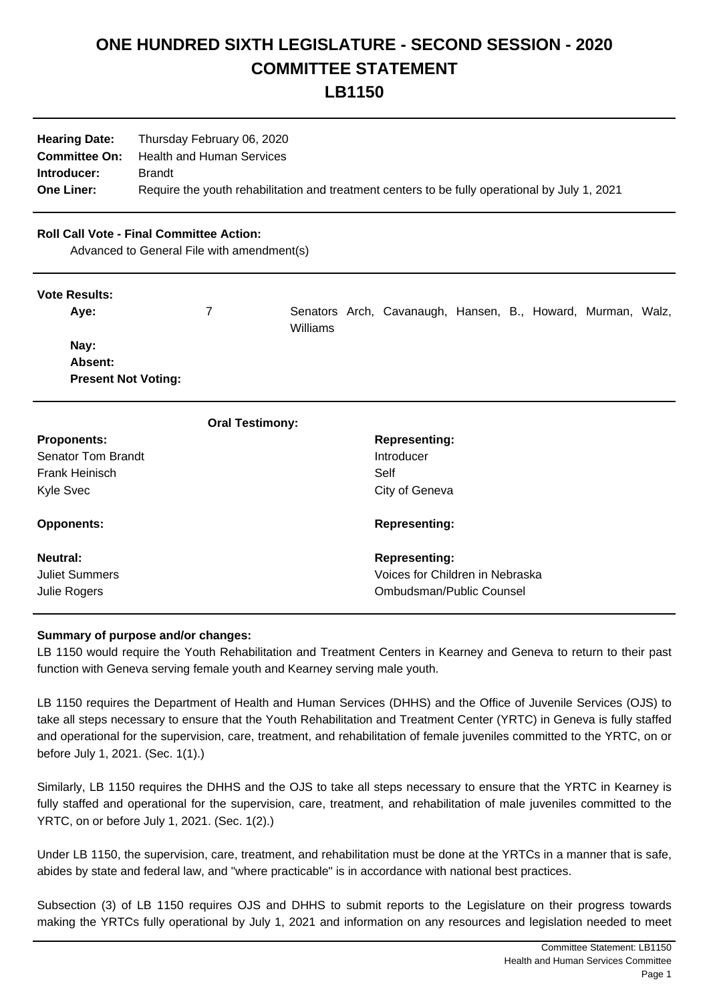# **ONE HUNDRED SIXTH LEGISLATURE - SECOND SESSION - 2020 COMMITTEE STATEMENT**

**LB1150**

| <b>Hearing Date:</b> | Thursday February 06, 2020                                                                     |
|----------------------|------------------------------------------------------------------------------------------------|
| <b>Committee On:</b> | Health and Human Services                                                                      |
| Introducer:          | <b>Brandt</b>                                                                                  |
| <b>One Liner:</b>    | Require the youth rehabilitation and treatment centers to be fully operational by July 1, 2021 |

# **Roll Call Vote - Final Committee Action:**

Advanced to General File with amendment(s)

#### **Vote Results:**

| Ave:                       |          | Senators Arch, Cavanaugh, Hansen, B., Howard, Murman, Walz, |  |  |  |
|----------------------------|----------|-------------------------------------------------------------|--|--|--|
|                            | Williams |                                                             |  |  |  |
| Nay:                       |          |                                                             |  |  |  |
| <b>Absent:</b>             |          |                                                             |  |  |  |
| <b>Present Not Voting:</b> |          |                                                             |  |  |  |

| <b>Oral Testimony:</b>    |                                 |
|---------------------------|---------------------------------|
| <b>Proponents:</b>        | <b>Representing:</b>            |
| <b>Senator Tom Brandt</b> | Introducer                      |
| Frank Heinisch            | Self                            |
| Kyle Svec                 | City of Geneva                  |
| <b>Opponents:</b>         | <b>Representing:</b>            |
| Neutral:                  | <b>Representing:</b>            |
| <b>Juliet Summers</b>     | Voices for Children in Nebraska |
| Julie Rogers              | Ombudsman/Public Counsel        |

## **Summary of purpose and/or changes:**

LB 1150 would require the Youth Rehabilitation and Treatment Centers in Kearney and Geneva to return to their past function with Geneva serving female youth and Kearney serving male youth.

LB 1150 requires the Department of Health and Human Services (DHHS) and the Office of Juvenile Services (OJS) to take all steps necessary to ensure that the Youth Rehabilitation and Treatment Center (YRTC) in Geneva is fully staffed and operational for the supervision, care, treatment, and rehabilitation of female juveniles committed to the YRTC, on or before July 1, 2021. (Sec. 1(1).)

Similarly, LB 1150 requires the DHHS and the OJS to take all steps necessary to ensure that the YRTC in Kearney is fully staffed and operational for the supervision, care, treatment, and rehabilitation of male juveniles committed to the YRTC, on or before July 1, 2021. (Sec. 1(2).)

Under LB 1150, the supervision, care, treatment, and rehabilitation must be done at the YRTCs in a manner that is safe, abides by state and federal law, and "where practicable" is in accordance with national best practices.

Subsection (3) of LB 1150 requires OJS and DHHS to submit reports to the Legislature on their progress towards making the YRTCs fully operational by July 1, 2021 and information on any resources and legislation needed to meet